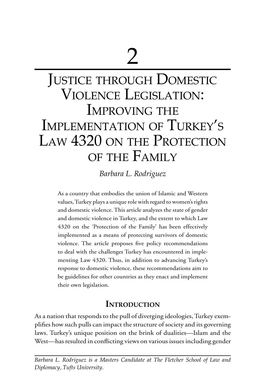# Justice through Domestic Violence Legislation: IMPROVING THE Implementation of Turkey's LAW 4320 ON THE PROTECTION of the Family

*Barbara L. Rodriguez*

As a country that embodies the union of Islamic and Western values, Turkey plays a unique role with regard to women's rights and domestic violence. This article analyzes the state of gender and domestic violence in Turkey, and the extent to which Law 4320 on the 'Protection of the Family' has been effectively implemented as a means of protecting survivors of domestic violence. The article proposes five policy recommendations to deal with the challenges Turkey has encountered in implementing Law 4320. Thus, in addition to advancing Turkey's response to domestic violence, these recommendations aim to be guidelines for other countries as they enact and implement their own legislation.

# **Introduction**

As a nation that responds to the pull of diverging ideologies, Turkey exemplifies how such pulls can impact the structure of society and its governing laws. Turkey's unique position on the brink of dualities—Islam and the West—has resulted in conflicting views on various issues including gender

*Barbara L. Rodriguez is a Masters Candidate at The Fletcher School of Law and Diplomacy, Tufts University.*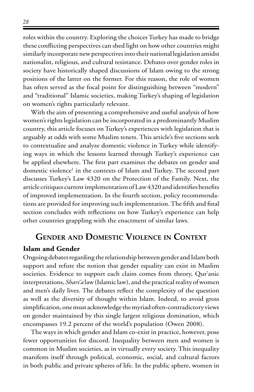roles within the country. Exploring the choices Turkey has made to bridge these conflicting perspectives can shed light on how other countries might similarly incorporate new perspectives into their national legislation amidst nationalist, religious, and cultural resistance. Debates over gender roles in society have historically shaped discussions of Islam owing to the strong positions of the latter on the former. For this reason, the role of women has often served as the focal point for distinguishing between "modern" and "traditional" Islamic societies, making Turkey's shaping of legislation on women's rights particularly relevant.

With the aim of presenting a comprehensive and useful analysis of how women's rights legislation can be incorporated in a predominantly Muslim country, this article focuses on Turkey's experiences with legislation that is arguably at odds with some Muslim tenets. This article's five sections seek to contextualize and analyze domestic violence in Turkey while identifying ways in which the lessons learned through Turkey's experience can be applied elsewhere. The first part examines the debates on gender and domestic violence<sup>1</sup> in the contexts of Islam and Turkey. The second part discusses Turkey's Law 4320 on the Protection of the Family. Next, the article critiques current implementation of Law 4320 and identifies benefits of improved implementation. In the fourth section, policy recommendations are provided for improving such implementation. The fifth and final section concludes with reflections on how Turkey's experience can help other countries grappling with the enactment of similar laws.

# **Gender and Domestic Violence in Context**

#### **Islam and Gender**

Ongoing debates regarding the relationship between gender and Islam both support and refute the notion that gender equality can exist in Muslim societies. Evidence to support each claim comes from theory, Qur'anic interpretations, *Shari'a* law (Islamic law), and the practical reality of women and men's daily lives. The debates reflect the complexity of the question as well as the diversity of thought within Islam. Indeed, to avoid gross simplification, one must acknowledge the myriad often-contradictory views on gender maintained by this single largest religious domination, which encompasses 19.2 percent of the world's population (Owen 2008).

The ways in which gender and Islam co-exist in practice, however, pose fewer opportunities for discord. Inequality between men and women is common in Muslim societies, as in virtually every society. This inequality manifests itself through political, economic, social, and cultural factors in both public and private spheres of life. In the public sphere, women in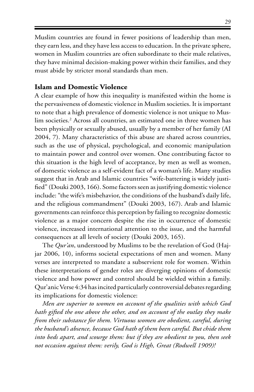Muslim countries are found in fewer positions of leadership than men, they earn less, and they have less access to education. In the private sphere, women in Muslim countries are often subordinate to their male relatives, they have minimal decision-making power within their families, and they must abide by stricter moral standards than men.

#### **Islam and Domestic Violence**

A clear example of how this inequality is manifested within the home is the pervasiveness of domestic violence in Muslim societies. It is important to note that a high prevalence of domestic violence is not unique to Muslim societies.<sup>2</sup> Across all countries, an estimated one in three women has been physically or sexually abused, usually by a member of her family (AI 2004, 7). Many characteristics of this abuse are shared across countries, such as the use of physical, psychological, and economic manipulation to maintain power and control over women. One contributing factor to this situation is the high level of acceptance, by men as well as women, of domestic violence as a self-evident fact of a woman's life. Many studies suggest that in Arab and Islamic countries "wife-battering is widely justified" (Douki 2003, 166). Some factors seen as justifying domestic violence include: "the wife's misbehavior, the conditions of the husband's daily life, and the religious commandment" (Douki 2003, 167). Arab and Islamic governments can reinforce this perception by failing to recognize domestic violence as a major concern despite the rise in occurrence of domestic violence, increased international attention to the issue, and the harmful consequences at all levels of society (Douki 2003, 165).

The *Qur'an*, understood by Muslims to be the revelation of God (Hajjar 2006, 10), informs societal expectations of men and women. Many verses are interpreted to mandate a subservient role for women. Within these interpretations of gender roles are diverging opinions of domestic violence and how power and control should be wielded within a family. Qur'anic Verse 4:34 has incited particularly controversial debates regarding its implications for domestic violence:

*Men are superior to women on account of the qualities with which God hath gifted the one above the other, and on account of the outlay they make from their substance for them. Virtuous women are obedient, careful, during the husband's absence, because God hath of them been careful. But chide them into beds apart, and scourge them: but if they are obedient to you, then seek not occasion against them: verily, God is High, Great (Rodwell 1909)!*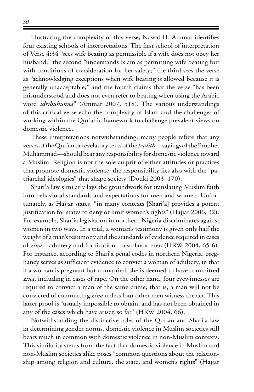Illustrating the complexity of this verse, Nawal H. Ammar identifies four existing schools of interpretations. The first school of interpretation of Verse 4:34 "sees wife beating as permissible if a wife does not obey her husband;" the second "understands Islam as permitting wife beating but with conditions of consideration for her safety;" the third sees the verse as "acknowledging exceptions when wife beating is allowed because it is generally unacceptable;" and the fourth claims that the verse "has been misunderstood and does not even refer to beating when using the Arabic word *idribuhunna*" (Ammar 2007, 518). The various understandings of this critical verse echo the complexity of Islam and the challenges of working within the Qur'anic framework to challenge prevalent views on domestic violence.

These interpretations notwithstanding, many people refute that any verses of the Qur'an or revelatory texts of the *hadith*—sayings of the Prophet Muhammad—should bear any responsibility for domestic violence toward a Muslim. Religion is not the sole culprit of either attitudes or practices that promote domestic violence; the responsibility lies also with the "patriarchal ideologies" that shape society (Douki 2003, 170).

Shari'a law similarly lays the groundwork for translating Muslim faith into behavioral standards and expectations for men and women. Unfortunately, as Hajjar states, "in many contexts [Shari'a] provides a potent justification for states to deny or limit women's rights" (Hajjar 2006, 32). For example, Shar'ia legislation in northern Nigeria discriminates against women in two ways. In a trial, a woman's testimony is given only half the weight of a man's testimony and the standards of evidence required in cases of *zina*—adultery and fornication—also favor men (HRW 2004, 65-6). For instance, according to Shari'a penal codes in northern Nigeria, pregnancy serves as sufficient evidence to convict a woman of adultery, in that if a woman is pregnant but unmarried, she is deemed to have committed *zina*, including in cases of rape. On the other hand, four eyewitnesses are required to convict a man of the same crime; that is, a man will not be convicted of committing *zina* unless four other men witness the act. This latter proof is "usually impossible to obtain, and has not been obtained in any of the cases which have arisen so far" (HRW 2004, 66).

Notwithstanding the distinctive roles of the Qur'an and Shari'a law in determining gender norms, domestic violence in Muslim societies still bears much in common with domestic violence in non-Muslim contexts. This similarity stems from the fact that domestic violence in Muslim and non-Muslim societies alike poses "common questions about the relationship among religion and culture, the state, and women's rights" (Hajjar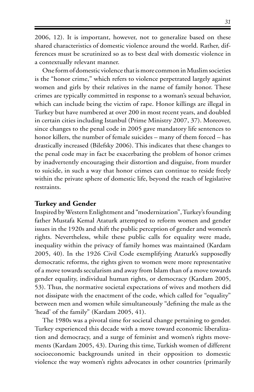2006, 12). It is important, however, not to generalize based on these shared characteristics of domestic violence around the world. Rather, differences must be scrutinized so as to best deal with domestic violence in a contextually relevant manner.

One form of domestic violence that is more common in Muslim societies is the "honor crime," which refers to violence perpetrated largely against women and girls by their relatives in the name of family honor. These crimes are typically committed in response to a woman's sexual behavior, which can include being the victim of rape. Honor killings are illegal in Turkey but have numbered at over 200 in most recent years, and doubled in certain cities including Istanbul (Prime Ministry 2007, 37). Moreover, since changes to the penal code in 2005 gave mandatory life sentences to honor killers, the number of female suicides – many of them forced – has drastically increased (Bilefsky 2006). This indicates that these changes to the penal code may in fact be exacerbating the problem of honor crimes by inadvertently encouraging their distortion and disguise, from murder to suicide, in such a way that honor crimes can continue to reside freely within the private sphere of domestic life, beyond the reach of legislative restraints.

#### **Turkey and Gender**

Inspired by Western Enlightment and "modernization", Turkey's founding father Mustafa Kemal Ataturk attempted to reform women and gender issues in the 1920s and shift the public perception of gender and women's rights. Nevertheless, while these public calls for equality were made, inequality within the privacy of family homes was maintained (Kardam 2005, 40). In the 1926 Civil Code exemplifying Ataturk's supposedly democratic reforms, the rights given to women were more representative of a move towards secularism and away from Islam than of a move towards gender equality, individual human rights, or democracy (Kardam 2005, 53). Thus, the normative societal expectations of wives and mothers did not dissipate with the enactment of the code, which called for "equality" between men and women while simultaneously "defining the male as the 'head' of the family" (Kardam 2005, 41).

The 1980s was a pivotal time for societal change pertaining to gender. Turkey experienced this decade with a move toward economic liberalization and democracy, and a surge of feminist and women's rights movements (Kardam 2005, 43). During this time, Turkish women of different socioeconomic backgrounds united in their opposition to domestic violence the way women's rights advocates in other countries (primarily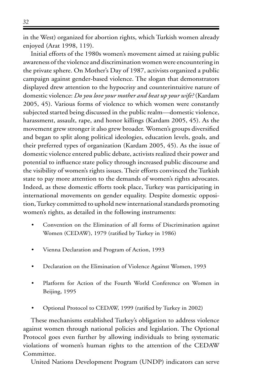in the West) organized for abortion rights, which Turkish women already enjoyed (Arat 1998, 119).

Initial efforts of the 1980s women's movement aimed at raising public awareness of the violence and discrimination women were encountering in the private sphere. On Mother's Day of 1987, activists organized a public campaign against gender-based violence. The slogan that demonstrators displayed drew attention to the hypocrisy and counterintuitive nature of domestic violence: *Do you love your mother and beat up your wife?* (Kardam 2005, 45). Various forms of violence to which women were constantly subjected started being discussed in the public realm—domestic violence, harassment, assault, rape, and honor killings (Kardam 2005, 45). As the movement grew stronger it also grew broader. Women's groups diversified and began to split along political ideologies, education levels, goals, and their preferred types of organization (Kardam 2005, 45). As the issue of domestic violence entered public debate, activists realized their power and potential to influence state policy through increased public discourse and the visibility of women's rights issues. Their efforts convinced the Turkish state to pay more attention to the demands of women's rights advocates. Indeed, as these domestic efforts took place, Turkey was participating in international movements on gender equality. Despite domestic opposition, Turkey committed to uphold new international standards promoting women's rights, as detailed in the following instruments:

- Convention on the Elimination of all forms of Discrimination against Women (CEDAW), 1979 (ratified by Turkey in 1986)
- Vienna Declaration and Program of Action, 1993
- Declaration on the Elimination of Violence Against Women, 1993
- Platform for Action of the Fourth World Conference on Women in Beijing, 1995
- Optional Protocol to CEDAW, 1999 (ratified by Turkey in 2002)

These mechanisms established Turkey's obligation to address violence against women through national policies and legislation. The Optional Protocol goes even further by allowing individuals to bring systematic violations of women's human rights to the attention of the CEDAW Committee.

United Nations Development Program (UNDP) indicators can serve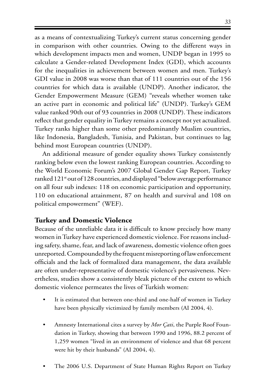as a means of contextualizing Turkey's current status concerning gender in comparison with other countries. Owing to the different ways in which development impacts men and women, UNDP began in 1995 to calculate a Gender-related Development Index (GDI), which accounts for the inequalities in achievement between women and men. Turkey's GDI value in 2008 was worse than that of 111 countries out of the 156 countries for which data is available (UNDP). Another indicator, the Gender Empowerment Measure (GEM) "reveals whether women take an active part in economic and political life" (UNDP). Turkey's GEM value ranked 90th out of 93 countries in 2008 (UNDP). These indicators reflect that gender equality in Turkey remains a concept not yet actualized. Turkey ranks higher than some other predominantly Muslim countries, like Indonesia, Bangladesh, Tunisia, and Pakistan, but continues to lag behind most European countries (UNDP).

An additional measure of gender equality shows Turkey consistently ranking below even the lowest ranking European countries. According to the World Economic Forum's 2007 Global Gender Gap Report, Turkey ranked 121<sup>st</sup> out of 128 countries, and displayed "below average performance on all four sub indexes: 118 on economic participation and opportunity, 110 on educational attainment, 87 on health and survival and 108 on political empowerment" (WEF).

#### **Turkey and Domestic Violence**

Because of the unreliable data it is difficult to know precisely how many women in Turkey have experienced domestic violence. For reasons including safety, shame, fear, and lack of awareness, domestic violence often goes unreported. Compounded by the frequent misreporting of law enforcement officials and the lack of formalized data management, the data available are often under-representative of domestic violence's pervasiveness. Nevertheless, studies show a consistently bleak picture of the extent to which domestic violence permeates the lives of Turkish women:

- It is estimated that between one-third and one-half of women in Turkey have been physically victimized by family members (AI 2004, 4).
- Amnesty International cites a survey by *Mor Çati*, the Purple Roof Foundation in Turkey, showing that between 1990 and 1996, 88.2 percent of 1,259 women "lived in an environment of violence and that 68 percent were hit by their husbands" (AI 2004, 4).
- The 2006 U.S. Department of State Human Rights Report on Turkey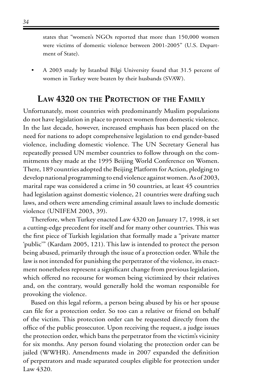states that "women's NGOs reported that more than 150,000 women were victims of domestic violence between 2001-2005" (U.S. Department of State).

A 2003 study by Istanbul Bilgi University found that 31.5 percent of women in Turkey were beaten by their husbands (SVAW).

## **Law 4320 on the Protection of the Family**

Unfortunately, most countries with predominantly Muslim populations do not have legislation in place to protect women from domestic violence. In the last decade, however, increased emphasis has been placed on the need for nations to adopt comprehensive legislation to end gender-based violence, including domestic violence. The UN Secretary General has repeatedly pressed UN member countries to follow through on the commitments they made at the 1995 Beijing World Conference on Women. There, 189 countries adopted the Beijing Platform for Action, pledging to develop national programming to end violence against women. As of 2003, marital rape was considered a crime in 50 countries, at least 45 countries had legislation against domestic violence, 21 countries were drafting such laws, and others were amending criminal assault laws to include domestic violence (UNIFEM 2003, 39).

Therefore, when Turkey enacted Law 4320 on January 17, 1998, it set a cutting-edge precedent for itself and for many other countries. This was the first piece of Turkish legislation that formally made a "private matter 'public'" (Kardam 2005, 121). This law is intended to protect the person being abused, primarily through the issue of a protection order. While the law is not intended for punishing the perpetrator of the violence, its enactment nonetheless represent a significant change from previous legislation, which offered no recourse for women being victimized by their relatives and, on the contrary, would generally hold the woman responsible for provoking the violence.

Based on this legal reform, a person being abused by his or her spouse can file for a protection order. So too can a relative or friend on behalf of the victim. This protection order can be requested directly from the office of the public prosecutor. Upon receiving the request, a judge issues the protection order, which bans the perpetrator from the victim's vicinity for six months. Any person found violating the protection order can be jailed (WWHR). Amendments made in 2007 expanded the definition of perpetrators and made separated couples eligible for protection under Law 4320.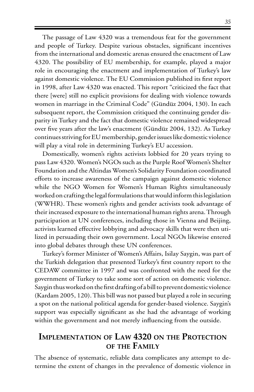The passage of Law 4320 was a tremendous feat for the government and people of Turkey. Despite various obstacles, significant incentives from the international and domestic arenas ensured the enactment of Law 4320. The possibility of EU membership, for example, played a major role in encouraging the enactment and implementation of Turkey's law against domestic violence. The EU Commission published its first report in 1998, after Law 4320 was enacted. This report "criticized the fact that there [were] still no explicit provisions for dealing with violence towards women in marriage in the Criminal Code" (Gündüz 2004, 130). In each subsequent report, the Commission critiqued the continuing gender disparity in Turkey and the fact that domestic violence remained widespread over five years after the law's enactment (Gündüz 2004, 132). As Turkey continues striving for EU membership, gender issues like domestic violence will play a vital role in determining Turkey's EU accession.

Domestically, women's rights activists lobbied for 20 years trying to pass Law 4320. Women's NGOs such as the Purple Roof Women's Shelter Foundation and the Altindas Women's Solidarity Foundation coordinated efforts to increase awareness of the campaign against domestic violence while the NGO Women for Women's Human Rights simultaneously worked on crafting the legal formulations that would inform this legislation (WWHR). These women's rights and gender activists took advantage of their increased exposure to the international human rights arena. Through participation at UN conferences, including those in Vienna and Beijing, activists learned effective lobbying and advocacy skills that were then utilized in persuading their own government. Local NGOs likewise entered into global debates through these UN conferences.

Turkey's former Minister of Women's Affairs, Isilay Saygin, was part of the Turkish delegation that presented Turkey's first country report to the CEDAW committee in 1997 and was confronted with the need for the government of Turkey to take some sort of action on domestic violence. Saygin thus worked on the first drafting of a bill to prevent domestic violence (Kardam 2005, 120). This bill was not passed but played a role in securing a spot on the national political agenda for gender-based violence. Saygin's support was especially significant as she had the advantage of working within the government and not merely influencing from the outside.

# **Implementation of Law 4320 on the Protection of the Family**

The absence of systematic, reliable data complicates any attempt to determine the extent of changes in the prevalence of domestic violence in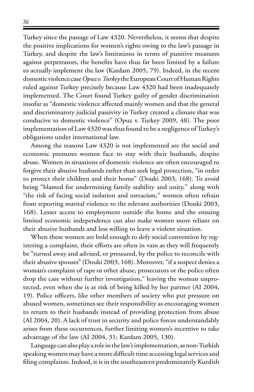Turkey since the passage of Law 4320. Nevertheless, it seems that despite the positive implications for women's rights owing to the law's passage in Turkey, and despite the law's limitations in terms of punitive measures against perpetrators, the benefits have thus far been limited by a failure to actually implement the law (Kardam 2005, 79). Indeed, in the recent domestic violence case *Opuz v. Turkey* the European Court of Human Rights ruled against Turkey precisely because Law 4320 had been inadequately implemented. The Court found Turkey guilty of gender discrimination insofar as "domestic violence affected mainly women and that the general and discriminatory judicial passivity in Turkey created a climate that was conducive to domestic violence" (Opuz v. Turkey 2009, 48). The poor implementation of Law 4320 was thus found to be a negligence of Turkey's obligations under international law.

Among the reasons Law 4320 is not implemented are the social and economic pressures women face to stay with their husbands, despite abuse. Women in situations of domestic violence are often encouraged to forgive their abusive husbands rather than seek legal protection, "in order to protect their children and their home" (Douki 2003, 168). To avoid being "blamed for undermining family stability and unity," along with "the risk of facing social isolation and ostracism," women often refrain from reporting marital violence to the relevant authorities (Douki 2003, 168). Lesser access to employment outside the home and the ensuing limited economic independence can also make women more reliant on their abusive husbands and less willing to leave a violent situation.

When these women are bold enough to defy social convention by registering a complaint, their efforts are often in vain as they will frequently be "turned away and advised, or pressured, by the police to reconcile with their abusive spouses" (Douki 2003, 168). Moreover, "if a suspect denies a woman's complaint of rape or other abuse, prosecutors or the police often drop the case without further investigation," leaving the woman unprotected, even when she is at risk of being killed by her partner (AI 2004, 19). Police officers, like other members of society who put pressure on abused women, sometimes see their responsibility as encouraging women to return to their husbands instead of providing protection from abuse (AI 2004, 20). A lack of trust in security and police forces understandably arises from these occurrences, further limiting women's incentive to take advantage of the law (AI 2004, 31; Kardam 2005, 130).

Language can also play a role in the law's implementation, as non-Turkish speaking women may have a more difficult time accessing legal services and filing complaints. Indeed, it is in the southeastern predominantly Kurdish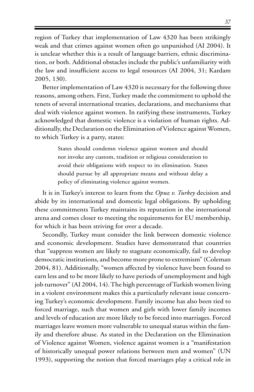region of Turkey that implementation of Law 4320 has been strikingly weak and that crimes against women often go unpunished (AI 2004). It is unclear whether this is a result of language barriers, ethnic discrimination, or both. Additional obstacles include the public's unfamiliarity with the law and insufficient access to legal resources (AI 2004, 31; Kardam 2005, 130).

Better implementation of Law 4320 is necessary for the following three reasons, among others. First, Turkey made the commitment to uphold the tenets of several international treaties, declarations, and mechanisms that deal with violence against women. In ratifying these instruments, Turkey acknowledged that domestic violence is a violation of human rights. Additionally, the Declaration on the Elimination of Violence against Women, to which Turkey is a party, states:

> States should condemn violence against women and should not invoke any custom, tradition or religious consideration to avoid their obligations with respect to its elimination. States should pursue by all appropriate means and without delay a policy of eliminating violence against women.

It is in Turkey's interest to learn from the *Opuz v. Turkey* decision and abide by its international and domestic legal obligations. By upholding these commitments Turkey maintains its reputation in the international arena and comes closer to meeting the requirements for EU membership, for which it has been striving for over a decade.

Secondly, Turkey must consider the link between domestic violence and economic development. Studies have demonstrated that countries that "suppress women are likely to stagnate economically, fail to develop democratic institutions, and become more prone to extremism" (Coleman 2004, 81). Additionally, "women affected by violence have been found to earn less and to be more likely to have periods of unemployment and high job turnover" (AI 2004, 14). The high percentage of Turkish women living in a violent environment makes this a particularly relevant issue concerning Turkey's economic development. Family income has also been tied to forced marriage, such that women and girls with lower family incomes and levels of education are more likely to be forced into marriages. Forced marriages leave women more vulnerable to unequal status within the family and therefore abuse. As stated in the Declaration on the Elimination of Violence against Women, violence against women is a "manifestation of historically unequal power relations between men and women" (UN 1993), supporting the notion that forced marriages play a critical role in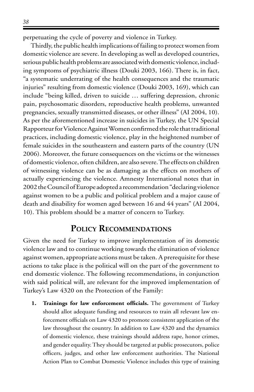perpetuating the cycle of poverty and violence in Turkey.

Thirdly, the public health implications of failing to protect women from domestic violence are severe. In developing as well as developed countries, serious public health problems are associated with domestic violence, including symptoms of psychiatric illness (Douki 2003, 166). There is, in fact, "a systematic underrating of the health consequences and the traumatic injuries" resulting from domestic violence (Douki 2003, 169), which can include "being killed, driven to suicide … suffering depression, chronic pain, psychosomatic disorders, reproductive health problems, unwanted pregnancies, sexually transmitted diseases, or other illness" (AI 2004, 10). As per the aforementioned increase in suicides in Turkey, the UN Special Rapporteur for Violence Against Women confirmed the role that traditional practices, including domestic violence, play in the heightened number of female suicides in the southeastern and eastern parts of the country (UN 2006). Moreover, the future consequences on the victims or the witnesses of domestic violence, often children, are also severe. The effects on children of witnessing violence can be as damaging as the effects on mothers of actually experiencing the violence. Amnesty International notes that in 2002 the Council of Europe adopted a recommendation "declaring violence against women to be a public and political problem and a major cause of death and disability for women aged between 16 and 44 years" (AI 2004, 10). This problem should be a matter of concern to Turkey.

## **Policy Recommendations**

Given the need for Turkey to improve implementation of its domestic violence law and to continue working towards the elimination of violence against women, appropriate actions must be taken. A prerequisite for these actions to take place is the political will on the part of the government to end domestic violence. The following recommendations, in conjunction with said political will, are relevant for the improved implementation of Turkey's Law 4320 on the Protection of the Family:

**1. Trainings for law enforcement officials.** The government of Turkey should allot adequate funding and resources to train all relevant law enforcement officials on Law 4320 to promote consistent application of the law throughout the country. In addition to Law 4320 and the dynamics of domestic violence, these trainings should address rape, honor crimes, and gender equality. They should be targeted at public prosecutors, police officers, judges, and other law enforcement authorities. The National Action Plan to Combat Domestic Violence includes this type of training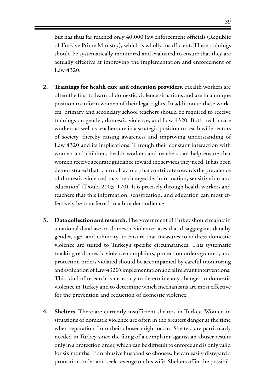but has thus far reached only 40,000 law enforcement officials (Republic of Türkiye Prime Ministry), which is wholly insufficient. These trainings should be systematically monitored and evaluated to ensure that they are actually effective at improving the implementation and enforcement of Law 4320.

- **2. Trainings for health care and education providers**. Health workers are often the first to learn of domestic violence situations and are in a unique position to inform women of their legal rights. In addition to these workers, primary and secondary school teachers should be required to receive trainings on gender, domestic violence, and Law 4320. Both health care workers as well as teachers are in a strategic position to reach wide sectors of society, thereby raising awareness and improving understanding of Law 4320 and its implications. Through their constant interaction with women and children, health workers and teachers can help ensure that women receive accurate guidance toward the services they need. It has been demonstrated that "cultural factors [that contribute towards the prevalence of domestic violence] may be changed by information, sensitization and education" (Douki 2003, 170). It is precisely through health workers and teachers that this information, sensitization, and education can most effectively be transferred to a broader audience.
- **3. Data collection and research**. The government of Turkey should maintain a national database on domestic violence cases that disaggregates data by gender, age, and ethnicity, to ensure that measures to address domestic violence are suited to Turkey's specific circumstances. This systematic tracking of domestic violence complaints, protection orders granted, and protection orders violated should be accompanied by careful monitoring and evaluation of Law 4320's implementation and all relevant interventions. This kind of research is necessary to determine any changes in domestic violence in Turkey and to determine which mechanisms are most effective for the prevention and reduction of domestic violence.
- **4. Shelters**. There are currently insufficient shelters in Turkey. Women in situations of domestic violence are often in the greatest danger at the time when separation from their abuser might occur. Shelters are particularly needed in Turkey since the filing of a complaint against an abuser results only in a protection order, which can be difficult to enforce and is only valid for six months. If an abusive husband so chooses, he can easily disregard a protection order and seek revenge on his wife. Shelters offer the possibil-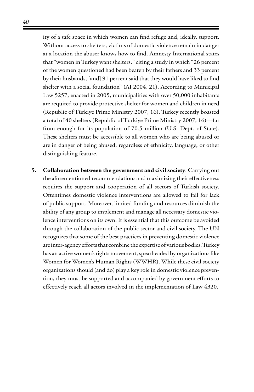ity of a safe space in which women can find refuge and, ideally, support. Without access to shelters, victims of domestic violence remain in danger at a location the abuser knows how to find. Amnesty International states that "women in Turkey want shelters," citing a study in which "26 percent of the women questioned had been beaten by their fathers and 33 percent by their husbands, [and] 91 percent said that they would have liked to find shelter with a social foundation" (AI 2004, 21). According to Municipal Law 5257, enacted in 2005, municipalities with over 50,000 inhabitants are required to provide protective shelter for women and children in need (Republic of Türkiye Prime Ministry 2007, 16). Turkey recently boasted a total of 40 shelters (Republic of Türkiye Prime Ministry 2007, 16)—far from enough for its population of 70.5 million (U.S. Dept. of State). These shelters must be accessible to all women who are being abused or are in danger of being abused, regardless of ethnicity, language, or other distinguishing feature.

**5. Collaboration between the government and civil society**. Carrying out the aforementioned recommendations and maximizing their effectiveness requires the support and cooperation of all sectors of Turkish society. Oftentimes domestic violence interventions are allowed to fail for lack of public support. Moreover, limited funding and resources diminish the ability of any group to implement and manage all necessary domestic violence interventions on its own. It is essential that this outcome be avoided through the collaboration of the public sector and civil society. The UN recognizes that some of the best practices in preventing domestic violence are inter-agency efforts that combine the expertise of various bodies. Turkey has an active women's rights movement, spearheaded by organizations like Women for Women's Human Rights (WWHR). While these civil society organizations should (and do) play a key role in domestic violence prevention, they must be supported and accompanied by government efforts to effectively reach all actors involved in the implementation of Law 4320.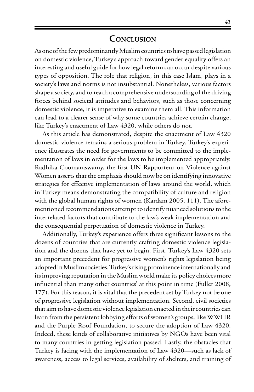#### **Conclusion**

As one of the few predominantly Muslim countries to have passed legislation on domestic violence, Turkey's approach toward gender equality offers an interesting and useful guide for how legal reform can occur despite various types of opposition. The role that religion, in this case Islam, plays in a society's laws and norms is not insubstantial. Nonetheless, various factors shape a society, and to reach a comprehensive understanding of the driving forces behind societal attitudes and behaviors, such as those concerning domestic violence, it is imperative to examine them all. This information can lead to a clearer sense of why some countries achieve certain change, like Turkey's enactment of Law 4320, while others do not.

As this article has demonstrated, despite the enactment of Law 4320 domestic violence remains a serious problem in Turkey. Turkey's experience illustrates the need for governments to be committed to the implementation of laws in order for the laws to be implemented appropriately. Radhika Coomaraswamy, the first UN Rapporteur on Violence against Women asserts that the emphasis should now be on identifying innovative strategies for effective implementation of laws around the world, which in Turkey means demonstrating the compatibility of culture and religion with the global human rights of women (Kardam 2005, 111). The aforementioned recommendations attempt to identify nuanced solutions to the interrelated factors that contribute to the law's weak implementation and the consequential perpetuation of domestic violence in Turkey.

Additionally, Turkey's experience offers three significant lessons to the dozens of countries that are currently crafting domestic violence legislation and the dozens that have yet to begin. First, Turkey's Law 4320 sets an important precedent for progressive women's rights legislation being adopted in Muslim societies. Turkey's rising prominence internationally and its improving reputation in the Muslim world make its policy choices more influential than many other countries' at this point in time (Fuller 2008, 177). For this reason, it is vital that the precedent set by Turkey not be one of progressive legislation without implementation. Second, civil societies that aim to have domestic violence legislation enacted in their countries can learn from the persistent lobbying efforts of women's groups, like WWHR and the Purple Roof Foundation, to secure the adoption of Law 4320. Indeed, these kinds of collaborative initiatives by NGOs have been vital to many countries in getting legislation passed. Lastly, the obstacles that Turkey is facing with the implementation of Law 4320—such as lack of awareness, access to legal services, availability of shelters, and training of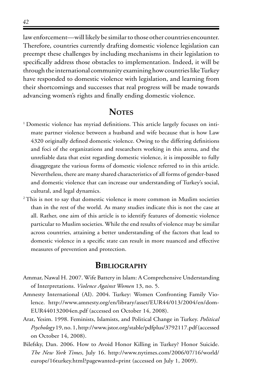law enforcement—will likely be similar to those other countries encounter. Therefore, countries currently drafting domestic violence legislation can preempt these challenges by including mechanisms in their legislation to specifically address those obstacles to implementation. Indeed, it will be through the international community examining how countries like Turkey have responded to domestic violence with legislation, and learning from their shortcomings and successes that real progress will be made towards advancing women's rights and finally ending domestic violence.

# **NOTES**

- <sup>1</sup> Domestic violence has myriad definitions. This article largely focuses on intimate partner violence between a husband and wife because that is how Law 4320 originally defined domestic violence. Owing to the differing definitions and foci of the organizations and researchers working in this arena, and the unreliable data that exist regarding domestic violence, it is impossible to fully disaggregate the various forms of domestic violence referred to in this article. Nevertheless, there are many shared characteristics of all forms of gender-based and domestic violence that can increase our understanding of Turkey's social, cultural, and legal dynamics.
- <sup>2</sup>This is not to say that domestic violence is more common in Muslim societies than in the rest of the world. As many studies indicate this is not the case at all. Rather, one aim of this article is to identify features of domestic violence particular to Muslim societies. While the end results of violence may be similar across countries, attaining a better understanding of the factors that lead to domestic violence in a specific state can result in more nuanced and effective measures of prevention and protection.

#### **Bibliography**

- Ammar, Nawal H. 2007. Wife Battery in Islam: A Comprehensive Understanding of Interpretations. *Violence Against Women* 13, no. 5.
- Amnesty International (AI). 2004. Turkey: Women Confronting Family Violence. http://www.amnesty.org/en/library/asset/EUR44/013/2004/en/dom-EUR440132004en.pdf (accessed on October 14, 2008).
- Arat, Yesim. 1998. Feminists, Islamists, and Political Change in Turkey. *Political Psychology* 19, no. 1, http://www.jstor.org/stable/pdfplus/3792117.pdf (accessed on October 14, 2008).
- Bilefsky, Dan. 2006. How to Avoid Honor Killing in Turkey? Honor Suicide. *The New York Times*, July 16. http://www.nytimes.com/2006/07/16/world/ europe/16turkey.html?pagewanted=print (accessed on July 1, 2009).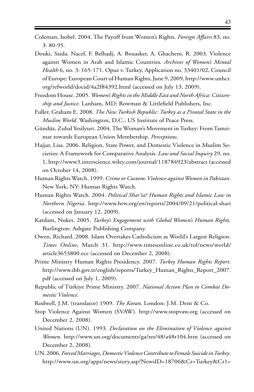- Coleman, Isobel. 2004. The Payoff from Women's Rights. *Foreign Affairs* 83, no. 3: 80-95.
- Douki, Saida. Nacef, F. Belhadj, A. Bouasker, A. Ghachem, R. 2003. Violence against Women in Arab and Islamic Countries. *Archives of Women's Mental Health* 6, no. 3: 165-171. Opuz v. Turkey, Application no. 33401/02, Council of Europe: European Court of Human Rights, June 9, 2009, http://www.unhcr. org/refworld/docid/4a2f84392.html (accessed on July 13, 2009).
- Freedom House. 2005. *Women's Rights in the Middle East and North Africa: Citizenship and Justice.* Lanham, MD: Rowman & Littlefield Publishers, Inc.
- Fuller, Graham E. 2008. *The New Turkish Republic: Turkey as a Pivotal State in the Muslim World*. Washington, D.C.: US Institute of Peace Press.
- Gündüz, Zuhal Yesilyurt. 2004. The Woman's Movement in Turkey: From Tamzimat towards European Union Membership. *Perceptions*.
- Hajjar, Lisa. 2006. Religion, State Power, and Domestic Violence in Muslim Societies: A Framework for Comparative Analysis. *Law and Social Inquiry* 29, no. 1, http://www3.interscience.wiley.com/journal/118784923/abstract (accessed on October 14, 2008).
- Human Rights Watch. 1999. *Crime or Custom: Violence against Women in Pakistan*. New York, NY: Human Rights Watch.
- Human Rights Watch. 2004. *Political Shar'ia? Human Rights and Islamic Law in Northern Nigeria*. http://www.hrw.org/en/reports/2004/09/21/political-shari (accessed on January 12, 2009).
- Kardam, Nuket. 2005. *Turkey's Engagement with Global Women's Human Rights.*  Burlington: Ashgate Publishing Company.
- Owen, Richard. 2008. Islam Overtakes Catholicism as World's Largest Religion. *Times Online*, March 31. http://www.timesonline.co.uk/tol/news/world/ article3653800.ece (accessed on December 2, 2008).
- Prime Ministry Human Rights Presidency. 2007. *Turkey Human Rights Report*. http://www.ihb.gov.tr/english/reports/Turkey\_Human\_Rights\_Report\_2007. pdf (accessed on July 1, 2009).
- Republic of Türkiye Prime Ministry. 2007. *National Action Plan to Combat Domestic Violence.*
- Rodwell, J.M. (translator) 1909. *The Koran*. London: J.M. Dent & Co.
- Stop Violence Against Women (SVAW). http://www.stopvaw.org (accessed on December 2, 2008).
- United Nations (UN). 1993. *Declaration on the Elimination of Violence against Women*. http://www.un.org/documents/ga/res/48/a48r104.htm (accessed on December 2, 2008).
- UN. 2006. *Forced Marriages, Domestic Violence Contribute to Female Suicide in Turkey*. http://www.un.org/apps/news/story.asp?NewsID=18706&Cr=Turkey&Cr1=